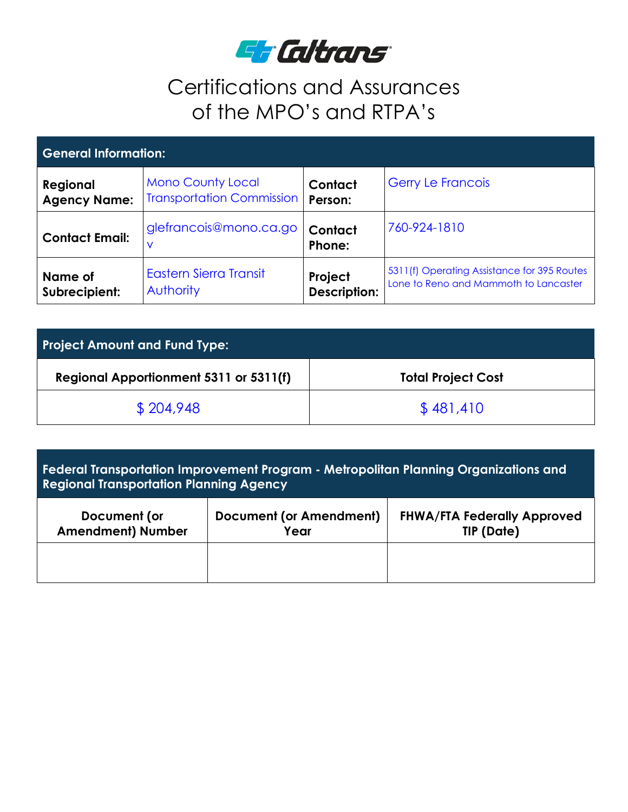

## Certifications and Assurances of the MPO's and RTPA's

| <b>General Information:</b> |                                  |                     |                                             |  |  |  |
|-----------------------------|----------------------------------|---------------------|---------------------------------------------|--|--|--|
| Regional                    | <b>Mono County Local</b>         | Contact             | <b>Gerry Le Francois</b>                    |  |  |  |
| <b>Agency Name:</b>         | <b>Transportation Commission</b> | Person:             |                                             |  |  |  |
| <b>Contact Email:</b>       | glefrancois@mono.ca.go           | Contact<br>Phone:   | 760-924-1810                                |  |  |  |
| Name of                     | <b>Eastern Sierra Transit</b>    | Project             | 5311(f) Operating Assistance for 395 Routes |  |  |  |
| Subrecipient:               | Authority                        | <b>Description:</b> | Lone to Reno and Mammoth to Lancaster       |  |  |  |

| <b>Project Amount and Fund Type:</b>   |                           |  |  |  |
|----------------------------------------|---------------------------|--|--|--|
| Regional Apportionment 5311 or 5311(f) | <b>Total Project Cost</b> |  |  |  |
| \$204,948                              | \$481,410                 |  |  |  |

**Federal Transportation Improvement Program - Metropolitan Planning Organizations and Regional Transportation Planning Agency** 

| Document (or             | Document (or Amendment) | <b>FHWA/FTA Federally Approved</b> |
|--------------------------|-------------------------|------------------------------------|
| <b>Amendment) Number</b> | Year                    | <b>TIP (Date)</b>                  |
|                          |                         |                                    |